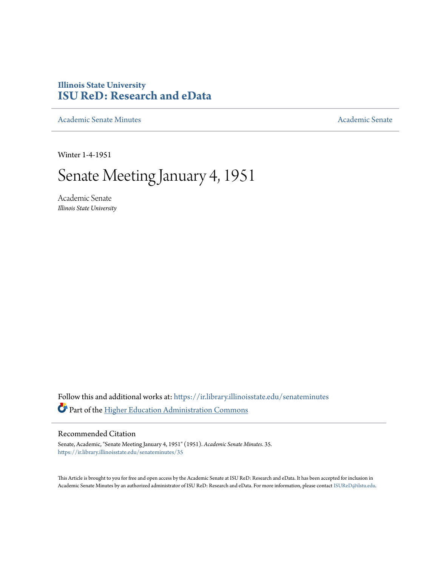## **Illinois State University [ISU ReD: Research and eData](https://ir.library.illinoisstate.edu?utm_source=ir.library.illinoisstate.edu%2Fsenateminutes%2F35&utm_medium=PDF&utm_campaign=PDFCoverPages)**

[Academic Senate Minutes](https://ir.library.illinoisstate.edu/senateminutes?utm_source=ir.library.illinoisstate.edu%2Fsenateminutes%2F35&utm_medium=PDF&utm_campaign=PDFCoverPages) [Academic Senate](https://ir.library.illinoisstate.edu/senate?utm_source=ir.library.illinoisstate.edu%2Fsenateminutes%2F35&utm_medium=PDF&utm_campaign=PDFCoverPages) Academic Senate

Winter 1-4-1951

## Senate Meeting January 4, 1951

Academic Senate *Illinois State University*

Follow this and additional works at: [https://ir.library.illinoisstate.edu/senateminutes](https://ir.library.illinoisstate.edu/senateminutes?utm_source=ir.library.illinoisstate.edu%2Fsenateminutes%2F35&utm_medium=PDF&utm_campaign=PDFCoverPages) Part of the [Higher Education Administration Commons](http://network.bepress.com/hgg/discipline/791?utm_source=ir.library.illinoisstate.edu%2Fsenateminutes%2F35&utm_medium=PDF&utm_campaign=PDFCoverPages)

## Recommended Citation

Senate, Academic, "Senate Meeting January 4, 1951" (1951). *Academic Senate Minutes*. 35. [https://ir.library.illinoisstate.edu/senateminutes/35](https://ir.library.illinoisstate.edu/senateminutes/35?utm_source=ir.library.illinoisstate.edu%2Fsenateminutes%2F35&utm_medium=PDF&utm_campaign=PDFCoverPages)

This Article is brought to you for free and open access by the Academic Senate at ISU ReD: Research and eData. It has been accepted for inclusion in Academic Senate Minutes by an authorized administrator of ISU ReD: Research and eData. For more information, please contact [ISUReD@ilstu.edu.](mailto:ISUReD@ilstu.edu)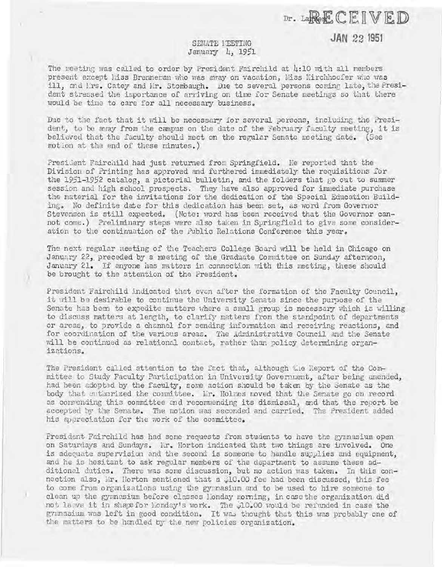Dr. LaRECEIVED

**JAN 22 1951** 

## SENATE 1 EETING January 4, 1951

,.

)

The meeting was called to order by President Fairchild at  $h:10$  with all members present except hiss Brenneran who was away on vacation, Miss Kirchhoefer who was ill, and Lrs. Catey and Mr. Stombaugh. Due to several persons coming late, the President stressed the importance of arriving on time for Senate meetings so that there would be time to care for all necessary business.

Due to the fact that it will be necessary for several persons, including the President, to be away from the campus on the date of the February faculty meeting, it is believed that the faculty should meet on the regular Senate meeting date. (See motion at the end of these minutes.)

President Fairchild had just returned from Springfield. He reported that the Division of Printing has approved and furthered immediately the requisitions for the 1951-1952 catalog, a pictorial bulletin, and the folders that  $\beta$  out to summer session and high school prospects. They have also approved for immediate purchase the material for the invitations for the dedication of the Spacial Education Building. No definite date for this dedication has been set, as word from Governor Stevenson is still expected. (Note: word has been received that the Governor cannot come.) Preliminary steps were also taken in Springfield to give some consideration to the continuation of the Public Relations Conference this year.

The next regular meeting of the Teachers College Board will be held in Chicago on January 22, preceded by a meeting of the Graduate Committee on Sunday afternoon, January 21. If anyone has matters in connection with this meeting, these should be brought to the attention of the President.

President Fairchild indicated that even after the formation of the Faculty Council. it will be desirable to continue the University Senate since the purpose of the Senate has been to expedite matters where a small group is necessary which is willing to discuss matters at length, to clarify matters from the standpoint of departments or areas, to provide a channel for sending information and receiving reactions, and for coordination of the various areas. The Administrative Council and the Senate will be continued as relational contact, rather than policy determining organizations.

The President called attention to the fact that, although the Report of the Committee to Study Faculty Participation in University Govemnent, after being amended, had been adopted by the faculty, some action should be taken by the Senate as the body that authorized the committee. In. Holmes moved that the Senate go on record as commending this committee and recommending its dismissal, and that the report be accepted by the Senate. The motion was seconded and carried. The President added his appreciation for the work of the committee.

President Fairchild has had some requests from students to have the gynnasium open on Saturdays and Sundays. Lir. Horton indicated that two things are involved. One is adequate supervision and the second is someone to handle supplies and equipment, and he is hesitant to ask regular members of the department to assume these additional duties. There was some discussion, but no action was taken. In this connection also, Mr. Horton mentioned that a \$10.00 fee had been discussed, this fee to come from organizations using the gymnasium and to be used to hire someone to clean up the gymnosium before classes londay morning, in case the organization did not leave it in shape for Monday's work. The 310.00 would be refunded in case the gynmasium was left in good condition. It was thought that this was probably one of the matters to be handled by the new policies organization.